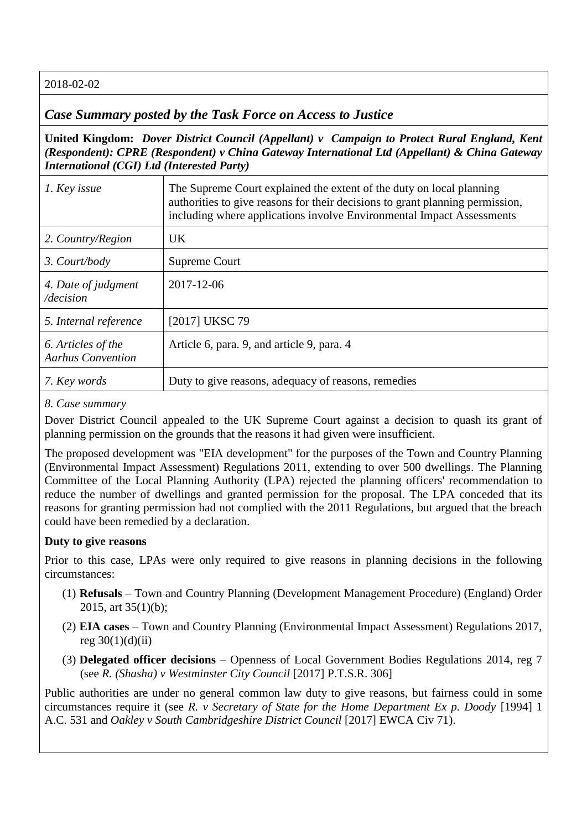## 2018-02-02

# *Case Summary posted by the Task Force on Access to Justice*

**United Kingdom:** *Dover District Council (Appellant) v Campaign to Protect Rural England, Kent (Respondent): CPRE (Respondent) v China Gateway International Ltd (Appellant) & China Gateway International (CGI) Ltd (Interested Party)*

| 1. Key issue                                   | The Supreme Court explained the extent of the duty on local planning<br>authorities to give reasons for their decisions to grant planning permission,<br>including where applications involve Environmental Impact Assessments |
|------------------------------------------------|--------------------------------------------------------------------------------------------------------------------------------------------------------------------------------------------------------------------------------|
| 2. Country/Region                              | UK.                                                                                                                                                                                                                            |
| 3. Court/body                                  | Supreme Court                                                                                                                                                                                                                  |
| 4. Date of judgment<br>/decision               | 2017-12-06                                                                                                                                                                                                                     |
| 5. Internal reference                          | [2017] UKSC 79                                                                                                                                                                                                                 |
| 6. Articles of the<br><b>Aarhus Convention</b> | Article 6, para. 9, and article 9, para. 4                                                                                                                                                                                     |
| 7. Key words                                   | Duty to give reasons, adequacy of reasons, remedies                                                                                                                                                                            |

### *8. Case summary*

Dover District Council appealed to the UK Supreme Court against a decision to quash its grant of planning permission on the grounds that the reasons it had given were insufficient.

The proposed development was "EIA development" for the purposes of the Town and Country Planning (Environmental Impact Assessment) Regulations 2011, extending to over 500 dwellings. The Planning Committee of the Local Planning Authority (LPA) rejected the planning officers' recommendation to reduce the number of dwellings and granted permission for the proposal. The LPA conceded that its reasons for granting permission had not complied with the 2011 Regulations, but argued that the breach could have been remedied by a declaration.

## **Duty to give reasons**

Prior to this case, LPAs were only required to give reasons in planning decisions in the following circumstances:

- (1) **Refusals** Town and Country Planning (Development Management Procedure) (England) Order 2015, art 35(1)(b);
- (2) **EIA cases** Town and Country Planning (Environmental Impact Assessment) Regulations 2017, reg  $30(1)(d)(ii)$
- (3) **Delegated officer decisions** Openness of Local Government Bodies Regulations 2014, reg 7 (see *R. (Shasha) v Westminster City Council* [2017] P.T.S.R. 306]

Public authorities are under no general common law duty to give reasons, but fairness could in some circumstances require it (see *R. v Secretary of State for the Home Department Ex p. Doody* [1994] 1 A.C. 531 and *Oakley v South Cambridgeshire District Council* [2017] EWCA Civ 71).